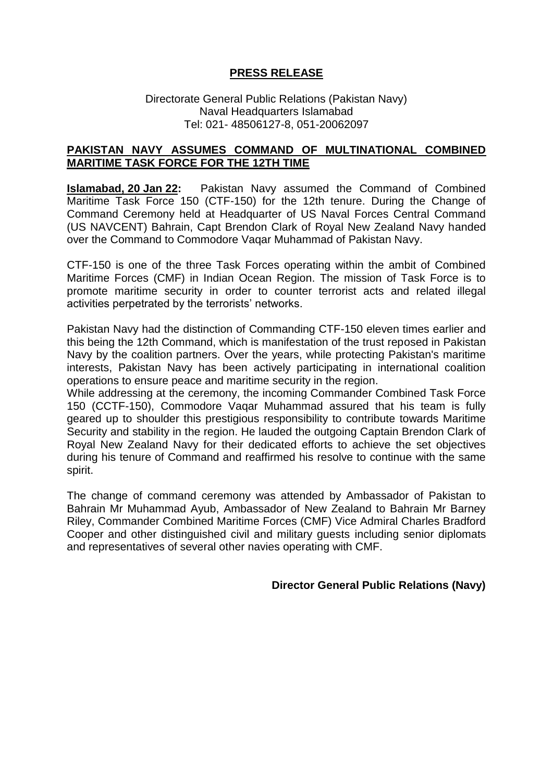## **PRESS RELEASE**

## Directorate General Public Relations (Pakistan Navy) Naval Headquarters Islamabad Tel: 021- 48506127-8, 051-20062097

## **PAKISTAN NAVY ASSUMES COMMAND OF MULTINATIONAL COMBINED MARITIME TASK FORCE FOR THE 12TH TIME**

**Islamabad, 20 Jan 22:** Pakistan Navy assumed the Command of Combined Maritime Task Force 150 (CTF-150) for the 12th tenure. During the Change of Command Ceremony held at Headquarter of US Naval Forces Central Command (US NAVCENT) Bahrain, Capt Brendon Clark of Royal New Zealand Navy handed over the Command to Commodore Vaqar Muhammad of Pakistan Navy.

CTF-150 is one of the three Task Forces operating within the ambit of Combined Maritime Forces (CMF) in Indian Ocean Region. The mission of Task Force is to promote maritime security in order to counter terrorist acts and related illegal activities perpetrated by the terrorists' networks.

Pakistan Navy had the distinction of Commanding CTF-150 eleven times earlier and this being the 12th Command, which is manifestation of the trust reposed in Pakistan Navy by the coalition partners. Over the years, while protecting Pakistan's maritime interests, Pakistan Navy has been actively participating in international coalition operations to ensure peace and maritime security in the region.

While addressing at the ceremony, the incoming Commander Combined Task Force 150 (CCTF-150), Commodore Vaqar Muhammad assured that his team is fully geared up to shoulder this prestigious responsibility to contribute towards Maritime Security and stability in the region. He lauded the outgoing Captain Brendon Clark of Royal New Zealand Navy for their dedicated efforts to achieve the set objectives during his tenure of Command and reaffirmed his resolve to continue with the same spirit.

The change of command ceremony was attended by Ambassador of Pakistan to Bahrain Mr Muhammad Ayub, Ambassador of New Zealand to Bahrain Mr Barney Riley, Commander Combined Maritime Forces (CMF) Vice Admiral Charles Bradford Cooper and other distinguished civil and military guests including senior diplomats and representatives of several other navies operating with CMF.

## **Director General Public Relations (Navy)**